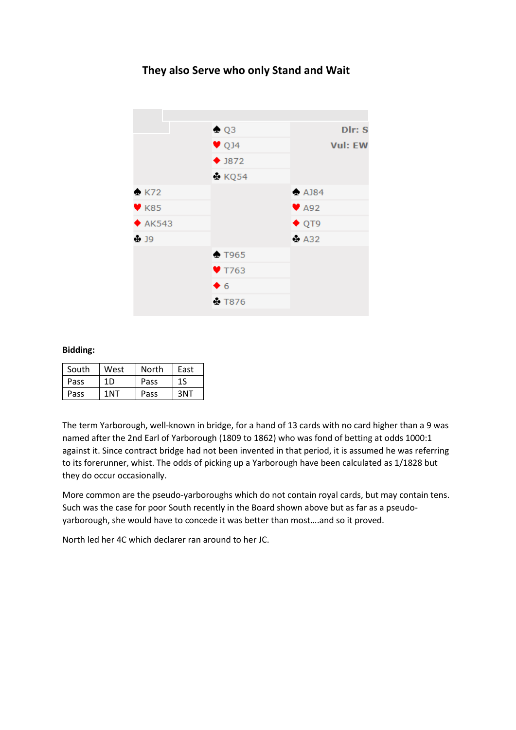## **They also Serve who only Stand and Wait**



## **Bidding:**

| South | West            | North | East |
|-------|-----------------|-------|------|
| Pass  | 1D              | Pass  | 1S   |
| Pass  | 1 <sub>NT</sub> | Pass  | 3NT  |

The term Yarborough, well-known in bridge, for a hand of 13 cards with no card higher than a 9 was named after the 2nd Earl of Yarborough (1809 to 1862) who was fond of betting at odds 1000:1 against it. Since contract bridge had not been invented in that period, it is assumed he was referring to its forerunner, whist. The odds of picking up a Yarborough have been calculated as 1/1828 but they do occur occasionally.

More common are the pseudo-yarboroughs which do not contain royal cards, but may contain tens. Such was the case for poor South recently in the Board shown above but as far as a pseudoyarborough, she would have to concede it was better than most….and so it proved.

North led her 4C which declarer ran around to her JC.